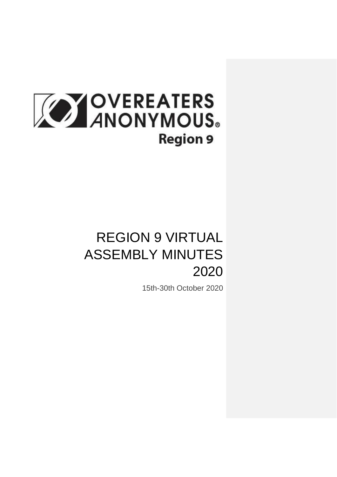

# REGION 9 VIRTUAL ASSEMBLY MINUTES 2020

15th-30th October 2020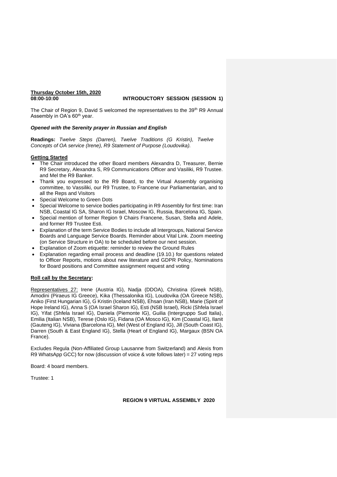## **Thursday October 15th, 2020**

#### **08:00-10:00 INTRODUCTORY SESSION (SESSION 1)**

The Chair of Region 9, David S welcomed the representatives to the 39<sup>th</sup> R9 Annual Assembly in OA's 60<sup>th</sup> year.

#### *Opened with the Serenity prayer in Russian and English*

**Readings:** *Twelve Steps (Darren), Twelve Traditions (G Kristin), Twelve Concepts of OA service (Irene), R9 Statement of Purpose (Loudovika).*

#### **Getting Started**

- The Chair introduced the other Board members Alexandra D, Treasurer, Bernie R9 Secretary, Alexandra S, R9 Communications Officer and Vasiliki, R9 Trustee. and Mel the R9 Banker.
- Thank you expressed to the R9 Board, to the Virtual Assembly organising committee, to Vassiliki, our R9 Trustee, to Francene our Parliamentarian, and to all the Reps and Visitors
- Special Welcome to Green Dots
- Special Welcome to service bodies participating in R9 Assembly for first time: Iran NSB, Coastal IG SA, Sharon IG Israel, Moscow IG, Russia, Barcelona IG, Spain.
- Special mention of former Region 9 Chairs Francene, Susan, Stella and Adele, and former R9 Trustee Esti.
- Explanation of the term Service Bodies to include all Intergroups, National Service Boards and Language Service Boards. Reminder about Vital Link. Zoom meeting (on Service Structure in OA) to be scheduled before our next session.
- Explanation of Zoom etiquette: reminder to review the Ground Rules
- Explanation regarding email process and deadline (19.10.) for questions related to Officer Reports, motions about new literature and GDPR Policy, Nominations for Board positions and Committee assignment request and voting

#### **Roll call by the Secretary:**

Representatives 27: Irene (Austria IG), Nadja (DDOA), Christina (Greek NSB), Amodini (Piraeus IG Greece), Kika (Thessalonika IG), Loudovika (OA Greece NSB), Aniko (First Hungarian IG), G Kristin (Iceland NSB), Ehsan (Iran NSB), Marie (Spirit of Hope Ireland IG), Anna S (OA Israel Sharon IG), Esti (NSB Israel), Ricki (Shfela Israel IG), Yifat (Shfela Israel IG), Daniela (Piemonte IG), Guilia (Intergruppo Sud Italia), Emilia (Italian NSB), Terese (Oslo IG), Fidana (OA Mosco IG), Kim (Coastal IG), Ilanit (Gauteng IG), Viviana (Barcelona IG), Mel (West of England IG), Jill (South Coast IG), Darren (South & East England IG), Stella (Heart of England IG), Margaux (BSN OA France).

Excludes Regula (Non-Affiliated Group Lausanne from Switzerland) and Alexis from R9 WhatsApp GCC) for now (discussion of voice & vote follows later) = 27 voting reps

Board: 4 board members.

Trustee: 1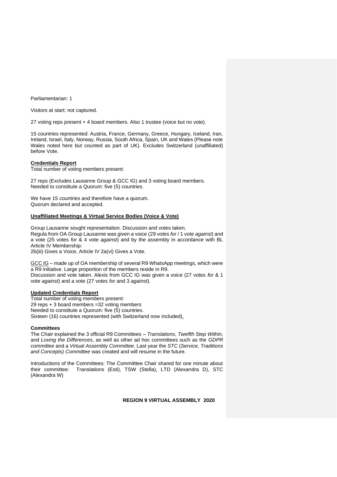Parliamentarian: 1

Visitors at start: not captured.

27 voting reps present + 4 board members. Also 1 trustee (voice but no vote).

15 countries represented: Austria, France, Germany, Greece, Hungary, Iceland, Iran, Ireland, Israel, Italy, Norway, Russia, South Africa, Spain, UK and Wales (Please note Wales noted here but counted as part of UK). Excludes Switzerland (unaffiliated) before Vote.

#### **Credentials Report**

Total number of voting members present:

27 reps (Excludes Lausanne Group & GCC IG) and 3 voting board members. Needed to constitute a Quorum: five (5) countries.

We have 15 countries and therefore have a quorum. Quorum declared and accepted.

#### **Unaffiliated Meetings & Virtual Service Bodies (Voice & Vote)**

Group Lausanne sought representation. Discussion and votes taken. Regula from OA Group Lausanne was given a voice (29 votes *for* / 1 vote *against*) and a vote (25 votes *for* & 4 vote *against*) and by the assembly in accordance with BL Article IV Membership:

2b(iii) Gives a Voice, Article IV 2a(vi) Gives a Vote.

GCC IG – made up of OA membership of several R9 WhatsApp meetings, which were a R9 initiative. Large proportion of the members reside in R9. Discussion and vote taken. Alexis from GCC IG was given a voice (27 votes *for* & 1 vote *against*) and a vote (27 votes *for* and 3 *against*).

#### **Updated Credentials Report**

Total number of voting members present: 29 reps + 3 board members =32 voting members Needed to constitute a Quorum: five (5) countries. Sixteen (16) countries represented (with Switzerland now included).

#### **Committees**

The Chair explained the 3 official R9 Committees – *Translations*, *Twelfth Step Within*, and *Loving the Differences*, as well as other ad hoc committees such as the *GDPR committee* and a *Virtual Assembly Committee*. Last year the *STC* (*Service, Traditions and Concepts) Committee* was created and will resume in the future.

Introductions of the Committees: The Committtee Chair shared for one minute about their committee: Translations (Esti), TSW (Stella), LTD (Alexandra D), STC (Alexandra W)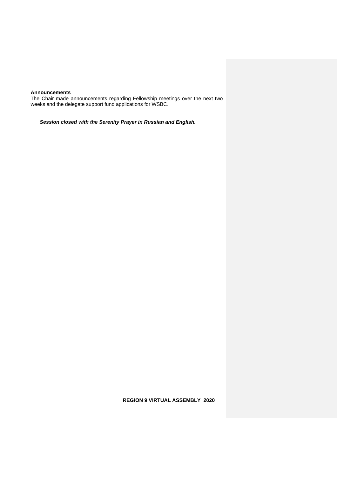#### **Announcements**

The Chair made announcements regarding Fellowship meetings over the next two weeks and the delegate support fund applications for WSBC.

*Session closed with the Serenity Prayer in Russian and English.*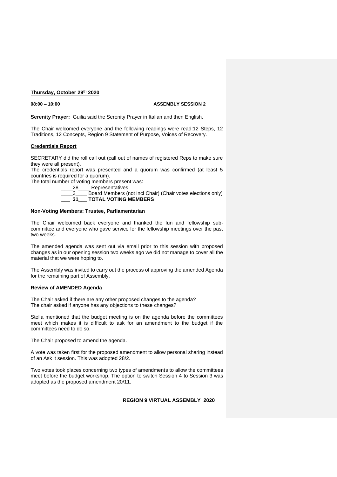#### **Thursday, October 29th 2020**

#### **08:00 – 10:00 ASSEMBLY SESSION 2**

**Serenity Prayer:** Guilia said the Serenity Prayer in Italian and then English.

The Chair welcomed everyone and the following readings were read:12 Steps, 12 Traditions, 12 Concepts, Region 9 Statement of Purpose, Voices of Recovery.

#### **Credentials Report**

SECRETARY did the roll call out (call out of names of registered Reps to make sure they were all present).

The credentials report was presented and a quorum was confirmed (at least 5 countries is required for a quorum).

The total number of voting members present was:

28 Representatives

\_\_\_\_3\_\_\_\_ Board Members (not incl Chair) (Chair votes elections only) **\_\_\_ 31\_\_\_ TOTAL VOTING MEMBERS**

#### **Non-Voting Members: Trustee, Parliamentarian**

The Chair welcomed back everyone and thanked the fun and fellowship subcommittee and everyone who gave service for the fellowship meetings over the past two weeks.

The amended agenda was sent out via email prior to this session with proposed changes as in our opening session two weeks ago we did not manage to cover all the material that we were hoping to.

The Assembly was invited to carry out the process of approving the amended Agenda for the remaining part of Assembly.

#### **Review of AMENDED Agenda**

The Chair asked if there are any other proposed changes to the agenda? The chair asked if anyone has any objections to these changes?

Stella mentioned that the budget meeting is on the agenda before the committees meet which makes it is difficult to ask for an amendment to the budget if the committees need to do so.

The Chair proposed to amend the agenda.

A vote was taken first for the proposed amendment to allow personal sharing instead of an Ask it session. This was adopted 28/2.

Two votes took places concerning two types of amendments to allow the committees meet before the budget workshop. The option to switch Session 4 to Session 3 was adopted as the proposed amendment 20/11.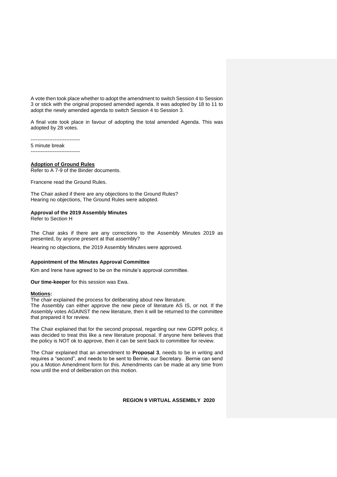A vote then took place whether to adopt the amendment to switch Session 4 to Session 3 or stick with the original proposed amended agenda. It was adopted by 18 to 11 to adopt the newly amended agenda to switch Session 4 to Session 3.

A final vote took place in favour of adopting the total amended Agenda. This was adopted by 28 votes.

----------------------------- 5 minute break -----------------------------

#### **Adoption of Ground Rules**

Refer to A 7-9 of the Binder documents.

Francene read the Ground Rules.

The Chair asked if there are any objections to the Ground Rules? Hearing no objections, The Ground Rules were adopted.

#### **Approval of the 2019 Assembly Minutes**

Refer to Section H

The Chair asks if there are any corrections to the Assembly Minutes 2019 as presented, by anyone present at that assembly?

Hearing no objections, the 2019 Assembly Minutes were approved.

#### **Appointment of the Minutes Approval Committee**

Kim and Irene have agreed to be on the minute's approval committee.

**Our time-keeper** for this session was Ewa.

#### **Motions:**

The chair explained the process for deliberating about new literature.

The Assembly can either approve the new piece of literature AS IS, or not. If the Assembly votes AGAINST the new literature, then it will be returned to the committee that prepared it for review.

The Chair explained that for the second proposal, regarding our new GDPR policy, it was decided to treat this like a new literature proposal. If anyone here believes that the policy is NOT ok to approve, then it can be sent back to committee for review.

The Chair explained that an amendment to **Proposal 3**, needs to be in writing and requires a "second", and needs to be sent to Bernie, our Secretary. Bernie can send you a Motion Amendment form for this. Amendments can be made at any time from now until the end of deliberation on this motion.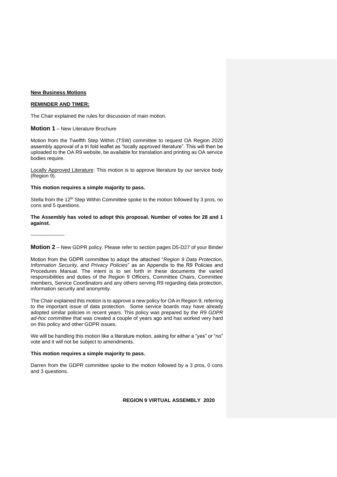#### **New Business Motions**

#### **REMINDER AND TIMER:**

The Chair explained the rules for discussion of main motion.

#### **Motion 1** – New Literature Brochure

Motion from the Twelfth Step Within (TSW) committee to request OA Region 2020 assembly approval of a tri fold leaflet as "locally approved literature". This will then be uploaded to the OA R9 website, be available for translation and printing as OA service bodies require.

Locally Approved Literature: This motion is to approve literature by our service body (Region 9).

#### **This motion requires a simple majority to pass.**

Stella from the  $12<sup>th</sup>$  Step Within Committee spoke to the motion followed by 3 pros, no cons and 5 questions.

#### **The Assembly has voted to adopt this proposal. Number of votes for 28 and 1 against.**

--------------------

#### **Motion 2** – New GDPR policy. Please refer to section pages D5-D27 of your Binder

Motion from the GDPR committee to adopt the attached "*Region 9 Data Protection, Information Security, and Privacy Policies*" as an Appendix to the R9 Policies and Procedures Manual. The intent is to set forth in these documents the varied responsibilities and duties of the Region 9 Officers, Committee Chairs, Committee members, Service Coordinators and any others serving R9 regarding data protection, information security and anonymity.

The Chair explained this motion is to approve a new policy for OA in Region 9, referring to the important issue of data protection. Some service boards may have already adopted similar policies in recent years. This policy was prepared by the *R9 GDPR ad-hoc committee* that was created a couple of years ago and has worked very hard on this policy and other GDPR issues.

We will be handling this motion like a literature motion, asking for either a "yes" or "no" vote and it will not be subject to amendments.

#### **This motion requires a simple majority to pass.**

Darren from the GDPR committee spoke to the motion followed by a 3 pros, 0 cons and 3 questions.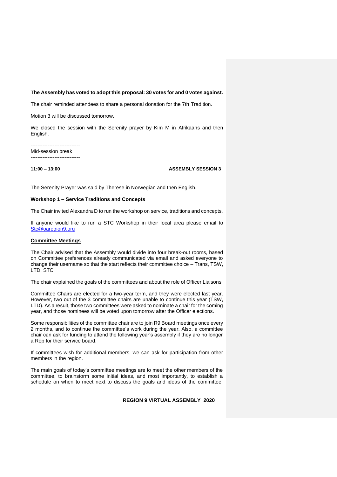#### **The Assembly has voted to adopt this proposal: 30 votes for and 0 votes against.**

The chair reminded attendees to share a personal donation for the 7th Tradition.

Motion 3 will be discussed tomorrow.

We closed the session with the Serenity prayer by Kim M in Afrikaans and then English.

----------------------------- Mid-session break -----------------------------

**11:00 – 13:00 ASSEMBLY SESSION 3**

The Serenity Prayer was said by Therese in Norwegian and then English.

#### **Workshop 1 – Service Traditions and Concepts**

The Chair invited Alexandra D to run the workshop on service, traditions and concepts.

If anyone would like to run a STC Workshop in their local area please email to [Stc@oaregion9.org](mailto:Stc@oaregion9.org)

#### **Committee Meetings**

The Chair advised that the Assembly would divide into four break-out rooms, based on Committee preferences already communicated via email and asked everyone to change their username so that the start reflects their committee choice – Trans, TSW, LTD, STC.

The chair explained the goals of the committees and about the role of Officer Liaisons:

Committee Chairs are elected for a two-year term, and they were elected last year. However, two out of the 3 committee chairs are unable to continue this year (TSW, LTD). As a result, those two committees were asked to nominate a chair for the coming year, and those nominees will be voted upon tomorrow after the Officer elections.

Some responsibilities of the committee chair are to join R9 Board meetings once every 2 months, and to continue the committee's work during the year. Also, a committee chair can ask for funding to attend the following year's assembly if they are no longer a Rep for their service board.

If committees wish for additional members, we can ask for participation from other members in the region.

The main goals of today's committee meetings are to meet the other members of the committee, to brainstorm some initial ideas, and most importantly, to establish a schedule on when to meet next to discuss the goals and ideas of the committee.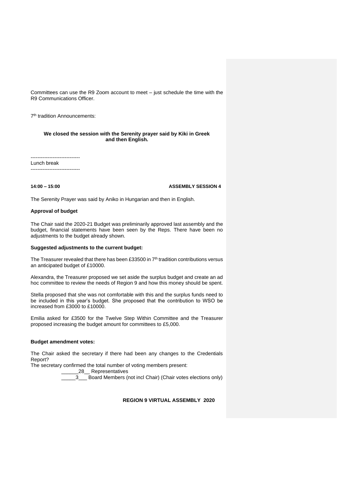Committees can use the R9 Zoom account to meet – just schedule the time with the R9 Communications Officer.

7 th tradition Announcements:

#### **We closed the session with the Serenity prayer said by Kiki in Greek and then English.**

-----------------------------

Lunch break -----------------------------

**14:00 – 15:00 ASSEMBLY SESSION 4**

The Serenity Prayer was said by Aniko in Hungarian and then in English.

#### **Approval of budget**

The Chair said the 2020-21 Budget was preliminarily approved last assembly and the budget, financial statements have been seen by the Reps. There have been no adjustments to the budget already shown.

#### **Suggested adjustments to the current budget:**

The Treasurer revealed that there has been £33500 in  $7<sup>th</sup>$  tradition contributions versus an anticipated budget of £10000.

Alexandra, the Treasurer proposed we set aside the surplus budget and create an ad hoc committee to review the needs of Region 9 and how this money should be spent.

Stella proposed that she was not comfortable with this and the surplus funds need to be included in this year's budget. She proposed that the contribution to WSO be increased from £3000 to £10000.

Emilia asked for £3500 for the Twelve Step Within Committee and the Treasurer proposed increasing the budget amount for committees to £5,000.

#### **Budget amendment votes:**

The Chair asked the secretary if there had been any changes to the Credentials Report?

The secretary confirmed the total number of voting members present:

\_28\_\_ Representatives

 $\frac{1}{3}$  Board Members (not incl Chair) (Chair votes elections only)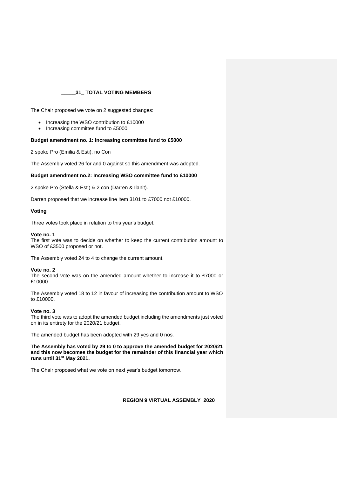#### **\_\_\_\_\_31\_ TOTAL VOTING MEMBERS**

The Chair proposed we vote on 2 suggested changes:

- Increasing the WSO contribution to £10000
- Increasing committee fund to £5000

#### **Budget amendment no. 1: Increasing committee fund to £5000**

2 spoke Pro (Emilia & Esti), no Con

The Assembly voted 26 for and 0 against so this amendment was adopted.

#### **Budget amendment no.2: Increasing WSO committee fund to £10000**

2 spoke Pro (Stella & Esti) & 2 con (Darren & Ilanit).

Darren proposed that we increase line item 3101 to £7000 not £10000.

#### **Voting**

Three votes took place in relation to this year's budget.

#### **Vote no. 1**

The first vote was to decide on whether to keep the current contribution amount to WSO of £3500 proposed or not.

The Assembly voted 24 to 4 to change the current amount.

#### **Vote no. 2**

The second vote was on the amended amount whether to increase it to £7000 or £10000.

The Assembly voted 18 to 12 in favour of increasing the contribution amount to WSO to £10000.

#### **Vote no. 3**

The third vote was to adopt the amended budget including the amendments just voted on in its entirety for the 2020/21 budget.

The amended budget has been adopted with 29 yes and 0 nos.

**The Assembly has voted by 29 to 0 to approve the amended budget for 2020/21 and this now becomes the budget for the remainder of this financial year which runs until 31st May 2021.** 

The Chair proposed what we vote on next year's budget tomorrow.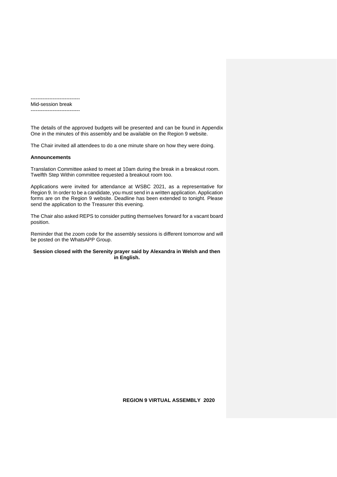-----------------------------

Mid-session break -----------------------------

The details of the approved budgets will be presented and can be found in Appendix One in the minutes of this assembly and be available on the Region 9 website.

The Chair invited all attendees to do a one minute share on how they were doing.

#### **Announcements**

Translation Committee asked to meet at 10am during the break in a breakout room. Twelfth Step Within committee requested a breakout room too.

Applications were invited for attendance at WSBC 2021, as a representative for Region 9. In order to be a candidate, you must send in a written application. Application forms are on the Region 9 website. Deadline has been extended to tonight. Please send the application to the Treasurer this evening.

The Chair also asked REPS to consider putting themselves forward for a vacant board position.

Reminder that the zoom code for the assembly sessions is different tomorrow and will be posted on the WhatsAPP Group.

#### **Session closed with the Serenity prayer said by Alexandra in Welsh and then in English.**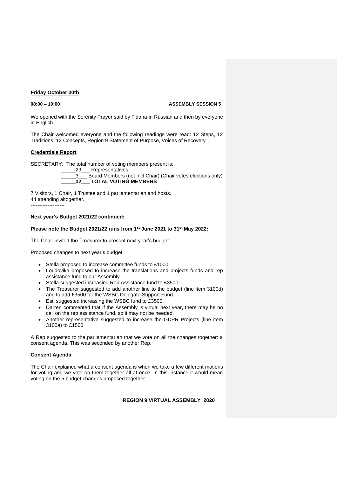## **Friday October 30th**

**08:00 – 10:00 ASSEMBLY SESSION 5**

We opened with the Serenity Prayer said by Fidana in Russian and then by everyone in English.

The Chair welcomed everyone and the following readings were read: 12 Steps, 12 Traditions, 12 Concepts, Region 9 Statement of Purpose, Voices of Recovery

#### **Credentials Report**

SECRETARY: The total number of voting members present is:



\_\_\_\_\_3\_\_\_ Board Members (not incl Chair) (Chair votes elections only) **\_\_\_\_\_32\_\_\_ TOTAL VOTING MEMBERS**

7 Visitors, 1 Chair, 1 Trustee and 1 parliamentarian and hosts. 44 attending altogether.

--------------------

#### **Next year's Budget 2021/22 continued:**

#### **Please note the Budget 2021/22 runs from 1st June 2021 to 31st May 2022:**

The Chair invited the Treasurer to present next year's budget.

Proposed changes to next year's budget

- Stella proposed to increase committee funds to £1000.
- Loudovika proposed to increase the translations and projects funds and rep assistance fund to our Assembly.
- Stella suggested increasing Rep Assistance fund to £3500.
- The Treasurer suggested to add another line to the budget (line item 3100d) and to add £3500 for the WSBC Delegate Support Fund.
- Esti suggested increasing the WSBC fund to £3500.
- Darren commented that if the Assembly is virtual next year, there may be no call on the rep assistance fund, so it may not be needed.
- Another representative suggested to increase the GDPR Projects (line item 3100a) to £1500

A Rep suggested to the parliamentarian that we vote on all the changes together: a consent agenda. This was seconded by another Rep.

#### **Consent Agenda**

The Chair explained what a consent agenda is when we take a few different motions for voting and we vote on them together all at once. In this instance it would mean voting on the 5 budget changes proposed together.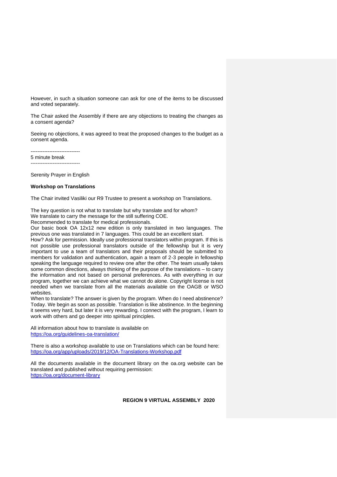However, in such a situation someone can ask for one of the items to be discussed and voted separately.

The Chair asked the Assembly if there are any objections to treating the changes as a consent agenda?

Seeing no objections, it was agreed to treat the proposed changes to the budget as a consent agenda.

-----------------------------

5 minute break -----------------------------

Serenity Prayer in English

#### **Workshop on Translations**

The Chair invited Vasiliki our R9 Trustee to present a workshop on Translations.

The key question is not what to translate but why translate and for whom?

We translate to carry the message for the still suffering COE. Recommended to translate for medical professionals.

Our basic book OA 12x12 new edition is only translated in two languages. The previous one was translated in 7 languages. This could be an excellent start.

How? Ask for permission. Ideally use professional translators within program. If this is not possible use professional translators outside of the fellowship but it is very important to use a team of translators and their proposals should be submitted to members for validation and authentication, again a team of 2-3 people in fellowship speaking the language required to review one after the other. The team usually takes some common directions, always thinking of the purpose of the translations – to carry the information and not based on personal preferences. As with everything in our program, together we can achieve what we cannot do alone. Copyright license is not needed when we translate from all the materials available on the OAGB or WSO websites.

When to translate? The answer is given by the program. When do I need abstinence? Today. We begin as soon as possible. Translation is like abstinence. In the beginning it seems very hard, but later it is very rewarding. I connect with the program, I learn to work with others and go deeper into spiritual principles.

All information about how to translate is available on <https://oa.org/guidelines-oa-translation/>

There is also a workshop available to use on Translations which can be found here: <https://oa.org/app/uploads/2019/12/OA-Translations-Workshop.pdf>

All the documents available in the document library on the oa.org website can be translated and published without requiring permission: <https://oa.org/document-library>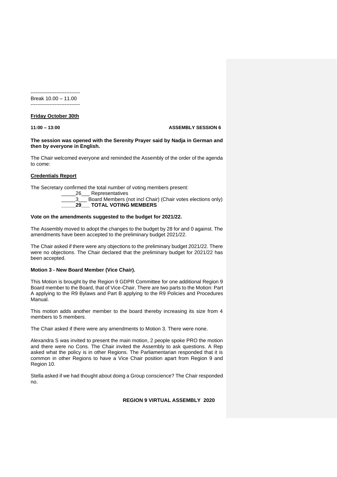----------------------------- Break 10.00 – 11.00 -----------------------------

#### **Friday October 30th**

**11:00 – 13:00 ASSEMBLY SESSION 6**

#### **The session was opened with the Serenity Prayer said by Nadja in German and then by everyone in English.**

The Chair welcomed everyone and reminded the Assembly of the order of the agenda to come:

#### **Credentials Report**

The Secretary confirmed the total number of voting members present:

\_\_\_\_\_26\_\_\_ Representatives

\_\_\_\_\_3\_\_\_ Board Members (not incl Chair) (Chair votes elections only) **\_\_\_\_\_29\_\_\_ TOTAL VOTING MEMBERS**

#### **Vote on the amendments suggested to the budget for 2021/22.**

The Assembly moved to adopt the changes to the budget by 28 for and 0 against. The amendments have been accepted to the preliminary budget 2021/22.

The Chair asked if there were any objections to the preliminary budget 2021/22. There were no objections. The Chair declared that the preliminary budget for 2021/22 has been accepted.

#### **Motion 3 - New Board Member (Vice Chair).**

This Motion is brought by the Region 9 GDPR Committee for one additional Region 9 Board member to the Board, that of Vice-Chair. There are two parts to the Motion: Part A applying to the R9 Bylaws and Part B applying to the R9 Policies and Procedures Manual.

This motion adds another member to the board thereby increasing its size from 4 members to 5 members.

The Chair asked if there were any amendments to Motion 3. There were none.

Alexandra S was invited to present the main motion, 2 people spoke PRO the motion and there were no Cons. The Chair invited the Assembly to ask questions. A Rep asked what the policy is in other Regions. The Parliamentarian responded that it is common in other Regions to have a Vice Chair position apart from Region 9 and Region 10.

Stella asked if we had thought about doing a Group conscience? The Chair responded no.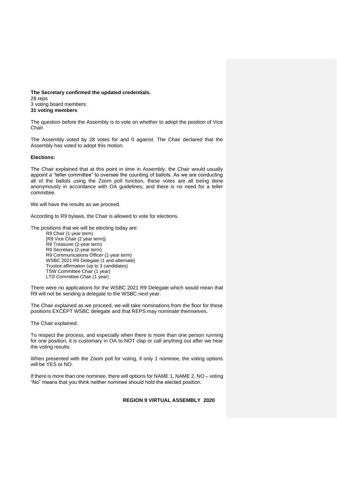**The Secretary confirmed the updated credentials.** 28 reps 3 voting board members: **31 voting members**

The question before the Assembly is to vote on whether to adopt the position of Vice Chair.

The Assembly voted by 28 votes for and 0 against. The Chair declared that the Assembly has voted to adopt this motion.

#### **Elections:**

The Chair explained that at this point in time in Assembly, the Chair would usually appoint a "teller committee" to oversee the counting of ballots. As we are conducting all of the ballots using the Zoom poll function, these votes are all being done anonymously in accordance with OA guidelines, and there is no need for a teller committee.

We will have the results as we proceed.

According to R9 bylaws, the Chair is allowed to vote for elections.

The positions that we will be electing today are:

R9 Chair (1-year term) [R9 Vice Chair (2 year term)] R9 Treasurer (2-year term) R9 Secretary (2-year term) R9 Communications Officer (1-year term) WSBC 2021 R9 Delegate (1 and alternate) Trustee affirmation (up to 3 candidates) TSW Committee Chair (1 year) LTD Committee Chair (1 year)

There were no applications for the WSBC 2021 R9 Delegate which would mean that R9 will not be sending a delegate to the WSBC next year.

The Chair explained as we proceed, we will take nominations from the floor for these positions EXCEPT WSBC delegate and that REPS may nominate themselves.

The Chair explained:

To respect the process, and especially when there is more than one person running for one position, it is customary in OA to NOT clap or call anything out after we hear the voting results.

When presented with the Zoom poll for voting, if only 1 nominee, the voting options will be YES or NO.

If there is more than one nominee, there will options for NAME 1, NAME 2, NO – voting "No" means that you think neither nominee should hold the elected position.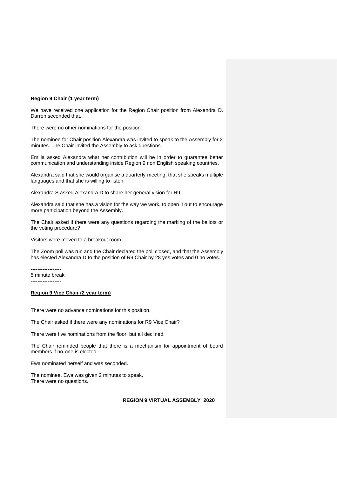#### **Region 9 Chair (1 year term)**

We have received one application for the Region Chair position from Alexandra D. Darren seconded that.

There were no other nominations for the position.

The nominee for Chair position Alexandra was invited to speak to the Assembly for 2 minutes. The Chair invited the Assembly to ask questions.

Emilia asked Alexandra what her contribution will be in order to guarantee better communication and understanding inside Region 9 non English speaking countries.

Alexandra said that she would organise a quarterly meeting, that she speaks multiple languages and that she is willing to listen.

Alexandra S asked Alexandra D to share her general vision for R9.

Alexandra said that she has a vision for the way we work, to open it out to encourage more participation beyond the Assembly.

The Chair asked if there were any questions regarding the marking of the ballots or the voting procedure?

Visitors were moved to a breakout room.

The Zoom poll was run and the Chair declared the poll closed, and that the Assembly has elected Alexandra D to the position of R9 Chair by 28 yes votes and 0 no votes.

------------------ 5 minute break ------------------

#### **Region 9 Vice Chair (2 year term)**

There were no advance nominations for this position.

The Chair asked if there were any nominations for R9 Vice Chair?

There were five nominations from the floor, but all declined.

The Chair reminded people that there is a mechanism for appointment of board members if no-one is elected.

Ewa nominated herself and was seconded.

The nominee, Ewa was given 2 minutes to speak. There were no questions.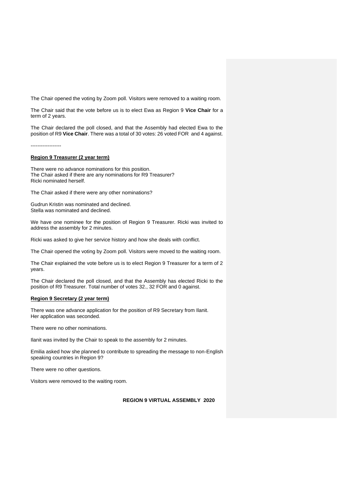The Chair opened the voting by Zoom poll. Visitors were removed to a waiting room.

The Chair said that the vote before us is to elect Ewa as Region 9 **Vice Chair** for a term of 2 years.

The Chair declared the poll closed, and that the Assembly had elected Ewa to the position of R9 **Vice Chair**. There was a total of 30 votes: 26 voted FOR and 4 against.

------------------

#### **Region 9 Treasurer (2 year term)**

There were no advance nominations for this position. The Chair asked if there are any nominations for R9 Treasurer? Ricki nominated herself.

The Chair asked if there were any other nominations?

Gudrun Kristin was nominated and declined. Stella was nominated and declined.

We have one nominee for the position of Region 9 Treasurer. Ricki was invited to address the assembly for 2 minutes.

Ricki was asked to give her service history and how she deals with conflict.

The Chair opened the voting by Zoom poll. Visitors were moved to the waiting room.

The Chair explained the vote before us is to elect Region 9 Treasurer for a term of 2 years.

The Chair declared the poll closed, and that the Assembly has elected Ricki to the position of R9 Treasurer. Total number of votes 32., 32 FOR and 0 against.

#### **Region 9 Secretary (2 year term)**

There was one advance application for the position of R9 Secretary from Ilanit. Her application was seconded.

There were no other nominations.

Ilanit was invited by the Chair to speak to the assembly for 2 minutes.

Emilia asked how she planned to contribute to spreading the message to non-English speaking countries in Region 9?

There were no other questions.

Visitors were removed to the waiting room.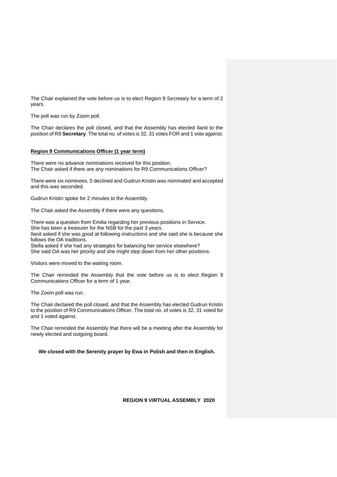The Chair explained the vote before us is to elect Region 9 Secretary for a term of 2 years.

The poll was run by Zoom poll.

The Chair declares the poll closed, and that the Assembly has elected Ilanit to the position of R9 **Secretary**. The total no. of votes is 32. 31 votes FOR and 1 vote against.

#### **Region 9 Communications Officer (1 year term)**

There were no advance nominations received for this position. The Chair asked if there are any nominations for R9 Communications Officer?

There were six nominees, 5 declined and Gudrun Kristin was nominated and accepted and this was seconded.

Gudrun Kristin spoke for 2 minutes to the Assembly.

The Chair asked the Assembly if there were any questions.

There was a question from Emilia regarding her previous positions in Service. She has been a treasurer for the NSB for the past 3 years. Ilanit asked if she was good at following instructions and she said she is because she follows the OA traditions. Stella asked if she had any strategies for balancing her service elsewhere? She said OA was her priority and she might step down from her other positions.

Visitors were moved to the waiting room.

The Chair reminded the Assembly that the vote before us is to elect Region 9 Communications Officer for a term of 1 year.

The Zoom poll was run.

The Chair declared the poll closed, and that the Assembly has elected Gudrun Kristin to the position of R9 Communications Officer. The total no. of votes is 32. 31 voted for and 1 voted against.

The Chair reminded the Assembly that there will be a meeting after the Assembly for newly elected and outgoing board.

**We closed with the Serenity prayer by Ewa in Polish and then in English.**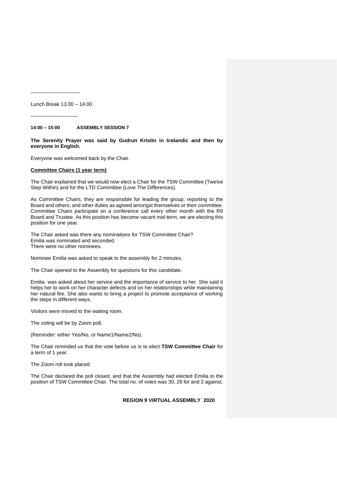-----------------------------

Lunch Break 13.00 – 14.00

----------------------------

**14:00 – 15:00 ASSEMBLY SESSION 7**

**The Serenity Prayer was said by Gudrun Kristin in Icelandic and then by everyone in English.**

Everyone was welcomed back by the Chair.

#### **Committee Chairs (1 year term)**

The Chair explained that we would now elect a Chair for the TSW Committee (Twelve Step Within) and for the LTD Committee (Love The Differences).

As Committee Chairs, they are responsible for leading the group, reporting to the Board and others, and other duties as agreed amongst themselves or their committee. Committee Chairs participate on a conference call every other month with the R9 Board and Trustee. As this position has become vacant mid-term, we are electing this position for one year.

The Chair asked was there any nominations for TSW Committee Chair? Emilia was nominated and seconded. There were no other nominees.

Nominee Emilia was asked to speak to the assembly for 2 minutes.

The Chair opened to the Assembly for questions for this candidate.

Emilia was asked about her service and the importance of service to her. She said it helps her to work on her character defects and on her relationships while maintaining her natural fire. She also wants to bring a project to promote acceptance of working the steps in different ways.

Visitors were moved to the waiting room.

The voting will be by Zoom poll.

(Reminder: either Yes/No, or Name1/Name2/No).

The Chair reminded us that the vote before us is to elect **TSW Committee Chair** for a term of 1 year.

The Zoom roll took placed

The Chair declared the poll closed, and that the Assembly had elected Emilia to the position of TSW Committee Chair. The total no. of votes was 30, 28 for and 2 against.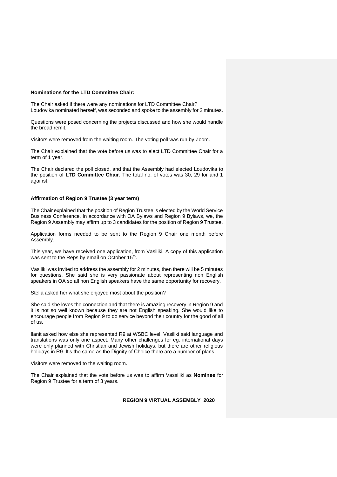#### **Nominations for the LTD Committee Chair:**

The Chair asked if there were any nominations for LTD Committee Chair? Loudovika nominated herself, was seconded and spoke to the assembly for 2 minutes.

Questions were posed concerning the projects discussed and how she would handle the broad remit.

Visitors were removed from the waiting room. The voting poll was run by Zoom.

The Chair explained that the vote before us was to elect LTD Committee Chair for a term of 1 year.

The Chair declared the poll closed, and that the Assembly had elected Loudovika to the position of **LTD Committee Chair**. The total no. of votes was 30, 29 for and 1 against.

#### **Affirmation of Region 9 Trustee (3 year term)**

The Chair explained that the position of Region Trustee is elected by the World Service Business Conference. In accordance with OA Bylaws and Region 9 Bylaws, we, the Region 9 Assembly may affirm up to 3 candidates for the position of Region 9 Trustee.

Application forms needed to be sent to the Region 9 Chair one month before Assembly.

This year, we have received one application, from Vasiliki. A copy of this application was sent to the Reps by email on October 15<sup>th</sup>.

Vasiliki was invited to address the assembly for 2 minutes, then there will be 5 minutes for questions. She said she is very passionate about representing non English speakers in OA so all non English speakers have the same opportunity for recovery.

Stella asked her what she enjoyed most about the position?

She said she loves the connection and that there is amazing recovery in Region 9 and it is not so well known because they are not English speaking. She would like to encourage people from Region 9 to do service beyond their country for the good of all of us.

Ilanit asked how else she represented R9 at WSBC level. Vasiliki said language and translations was only one aspect. Many other challenges for eg. international days were only planned with Christian and Jewish holidays, but there are other religious holidays in R9. It's the same as the Dignity of Choice there are a number of plans.

Visitors were removed to the waiting room.

The Chair explained that the vote before us was to affirm Vassiliki as **Nominee** for Region 9 Trustee for a term of 3 years.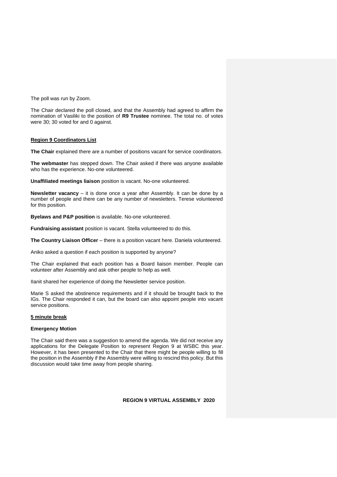The poll was run by Zoom.

The Chair declared the poll closed, and that the Assembly had agreed to affirm the nomination of Vasiliki to the position of **R9 Trustee** nominee. The total no. of votes were 30; 30 voted for and 0 against.

#### **Region 9 Coordinators List**

**The Chair** explained there are a number of positions vacant for service coordinators.

**The webmaster** has stepped down. The Chair asked if there was anyone available who has the experience. No-one volunteered.

**Unaffiliated meetings liaison** position is vacant. No-one volunteered.

**Newsletter vacancy** – it is done once a year after Assembly. It can be done by a number of people and there can be any number of newsletters. Terese volunteered for this position.

**Byelaws and P&P position** is available. No-one volunteered.

**Fundraising assistant** position is vacant. Stella volunteered to do this.

**The Country Liaison Officer** – there is a position vacant here. Daniela volunteered.

Aniko asked a question if each position is supported by anyone?

The Chair explained that each position has a Board liaison member. People can volunteer after Assembly and ask other people to help as well.

IIanit shared her experience of doing the Newsletter service position.

Marie S asked the abstinence requirements and if it should be brought back to the IGs. The Chair responded it can, but the board can also appoint people into vacant service positions.

#### **5 minute break**

#### **Emergency Motion**

The Chair said there was a suggestion to amend the agenda. We did not receive any applications for the Delegate Position to represent Region 9 at WSBC this year. However, it has been presented to the Chair that there might be people willing to fill the position in the Assembly if the Assembly were willing to rescind this policy. But this discussion would take time away from people sharing.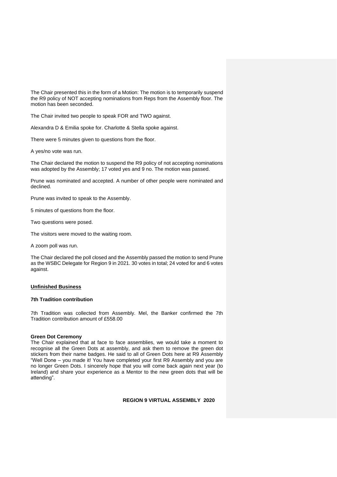The Chair presented this in the form of a Motion: The motion is to temporarily suspend the R9 policy of NOT accepting nominations from Reps from the Assembly floor. The motion has been seconded.

The Chair invited two people to speak FOR and TWO against.

Alexandra D & Emilia spoke for. Charlotte & Stella spoke against.

There were 5 minutes given to questions from the floor.

A yes/no vote was run.

The Chair declared the motion to suspend the R9 policy of not accepting nominations was adopted by the Assembly; 17 voted yes and 9 no. The motion was passed.

Prune was nominated and accepted. A number of other people were nominated and declined.

Prune was invited to speak to the Assembly.

5 minutes of questions from the floor.

Two questions were posed.

The visitors were moved to the waiting room.

A zoom poll was run.

The Chair declared the poll closed and the Assembly passed the motion to send Prune as the WSBC Delegate for Region 9 in 2021. 30 votes in total; 24 voted for and 6 votes against.

#### **Unfinished Business**

#### **7th Tradition contribution**

7th Tradition was collected from Assembly. Mel, the Banker confirmed the 7th Tradition contribution amount of £558.00

#### **Green Dot Ceremony**

The Chair explained that at face to face assemblies, we would take a moment to recognise all the Green Dots at assembly, and ask them to remove the green dot stickers from their name badges. He said to all of Green Dots here at R9 Assembly "Well Done – you made it! You have completed your first R9 Assembly and you are no longer Green Dots. I sincerely hope that you will come back again next year (to Ireland) and share your experience as a Mentor to the new green dots that will be attending".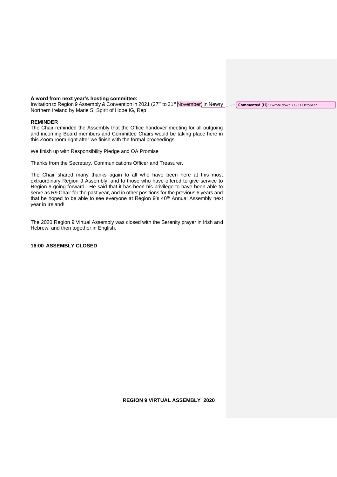#### **A word from next year's hosting committee:**

Invitation to Region 9 Assembly & Convention in 2021 (27<sup>th</sup> to 31<sup>st</sup> November) in Newry Northern Ireland by Marie S, Spirit of Hope IG, Rep

#### **REMINDER**

The Chair reminded the Assembly that the Office handover meeting for all outgoing and incoming Board members and Committee Chairs would be taking place here in this Zoom room right after we finish with the formal proceedings.

We finish up with Responsibility Pledge and OA Promise

Thanks from the Secretary, Communications Officer and Treasurer.

The Chair shared many thanks again to all who have been here at this most extraordinary Region 9 Assembly, and to those who have offered to give service to Region 9 going forward. He said that it has been his privilege to have been able to serve as R9 Chair for the past year, and in other positions for the previous 6 years and that he hoped to be able to see everyone at Region 9's 40<sup>th</sup> Annual Assembly next year in Ireland!

The 2020 Region 9 Virtual Assembly was closed with the Serenity prayer in Irish and Hebrew, and then together in English.

**16:00 ASSEMBLY CLOSED**

**Commented [I1]:** I wrote down 27.-31.October?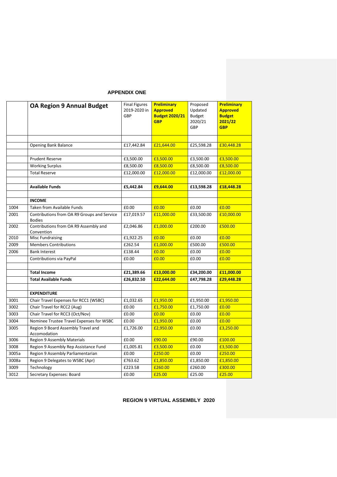#### **APPENDIX ONE**

|       | <b>OA Region 9 Annual Budget</b>            | <b>Final Figures</b><br>2019-2020 in<br>GBP | Preliminary<br><b>Approved</b><br><b>Budget 2020/21</b><br><b>GBP</b> | Proposed<br>Updated<br><b>Budget</b><br>2020/21<br>GBP | Preliminary<br><b>Approved</b><br><b>Budget</b><br>2021/22<br><b>GBP</b> |
|-------|---------------------------------------------|---------------------------------------------|-----------------------------------------------------------------------|--------------------------------------------------------|--------------------------------------------------------------------------|
|       |                                             |                                             |                                                                       |                                                        |                                                                          |
|       | <b>Opening Bank Balance</b>                 | £17,442.84                                  | £21,644.00                                                            | £25,598.28                                             | £30,448.28                                                               |
|       |                                             |                                             |                                                                       |                                                        |                                                                          |
|       | <b>Prudent Reserve</b>                      | £3,500.00                                   | £3,500.00                                                             | £3,500.00                                              | £3,500.00                                                                |
|       | <b>Working Surplus</b>                      | £8,500.00                                   | £8,500.00                                                             | £8,500.00                                              | £8,500.00                                                                |
|       | <b>Total Reserve</b>                        | £12,000.00                                  | £12,000.00                                                            | £12,000.00                                             | £12,000.00                                                               |
|       |                                             |                                             |                                                                       |                                                        |                                                                          |
|       | <b>Available Funds</b>                      | £5,442.84                                   | £9,644.00                                                             | £13,598.28                                             | £18,448.28                                                               |
|       | <b>INCOME</b>                               |                                             |                                                                       |                                                        |                                                                          |
| 1004  | <b>Taken from Available Funds</b>           | £0.00                                       | £0.00                                                                 | £0.00                                                  | £0.00                                                                    |
| 2001  | Contributions from OA R9 Groups and Service | £17,019.57                                  | £11,000.00                                                            | £33,500.00                                             | £10,000.00                                                               |
|       | <b>Bodies</b>                               |                                             |                                                                       |                                                        |                                                                          |
| 2002  | Contributions from OA R9 Assembly and       | £2,046.86                                   | £1,000.00                                                             | £200.00                                                | £500.00                                                                  |
|       | Convention                                  |                                             |                                                                       |                                                        |                                                                          |
| 2010  | <b>Misc Fundraising</b>                     | £1,922.25                                   | £0.00                                                                 | £0.00                                                  | £0.00                                                                    |
| 2009  | <b>Members Contributions</b>                | £262.54                                     | £1,000.00                                                             | £500.00                                                | £500.00                                                                  |
| 2006  | <b>Bank Interest</b>                        | £138.44                                     | £0.00                                                                 | £0.00                                                  | £0.00                                                                    |
|       | Contributions via PayPal                    | £0.00                                       | £0.00                                                                 | £0.00                                                  | £0.00                                                                    |
|       |                                             |                                             |                                                                       |                                                        |                                                                          |
|       | <b>Total Income</b>                         | £21,389.66                                  | £13,000.00                                                            | £34,200.00                                             | £11,000.00                                                               |
|       | <b>Total Available Funds</b>                | £26,832.50                                  | £22,644.00                                                            | £47,798.28                                             | £29,448.28                                                               |
|       | <b>EXPENDITURE</b>                          |                                             |                                                                       |                                                        |                                                                          |
| 3001  | Chair Travel Expenses for RCC1 (WSBC)       | £1,032.65                                   | £1,950.00                                                             | £1,950.00                                              | £1,950.00                                                                |
| 3002  | Chair Travel for RCC2 (Aug)                 | £0.00                                       | £1,750.00                                                             | £1,750.00                                              | £0.00                                                                    |
| 3003  | Chair Travel for RCC3 (Oct/Nov)             | £0.00                                       | £0.00                                                                 | £0.00                                                  | £0.00                                                                    |
| 3004  | Nominee Trustee Travel Expenses for WSBC    | £0.00                                       | £1,950.00                                                             | £0.00                                                  | £0.00                                                                    |
| 3005  | Region 9 Board Assembly Travel and          | £1,726.00                                   | £2,950.00                                                             | £0.00                                                  | £3,250.00                                                                |
|       | Accomodation                                |                                             |                                                                       |                                                        |                                                                          |
| 3006  | <b>Region 9 Assembly Materials</b>          | £0.00                                       | £90.00                                                                | £90.00                                                 | £100.00                                                                  |
| 3008  | Region 9 Assembly Rep Assistance Fund       | £1,005.81                                   | £3,500.00                                                             | £0.00                                                  | £3,500.00                                                                |
| 3005a | Region 9 Assembly Parliamentarian           | £0.00                                       | £250.00                                                               | £0.00                                                  | £250.00                                                                  |
| 3008a | Region 9 Delegates to WSBC (Apr)            | £763.62                                     | £1,850.00                                                             | £1,850.00                                              | £1,850.00                                                                |
| 3009  | Technology                                  | £223.58                                     | £260.00                                                               | £260.00                                                | £300.00                                                                  |
| 3012  | Secretary Expenses: Board                   | £0.00                                       | £25.00                                                                | £25.00                                                 | £25.00                                                                   |